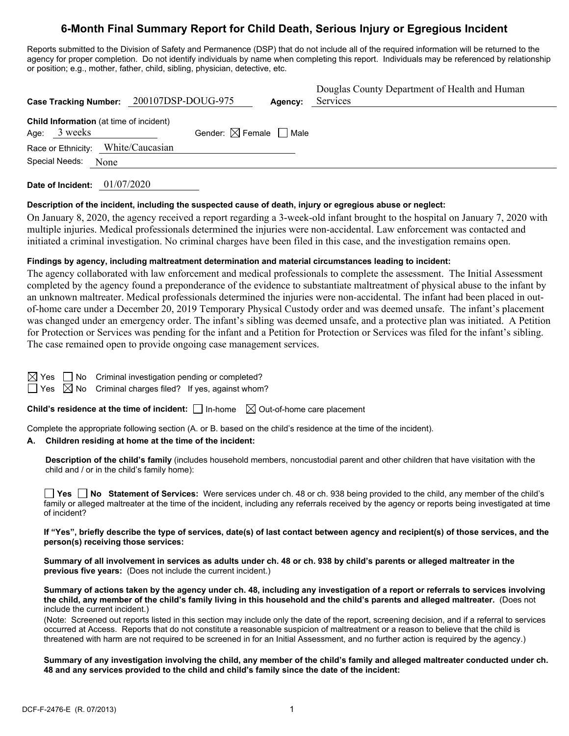# **6-Month Final Summary Report for Child Death, Serious Injury or Egregious Incident**

Reports submitted to the Division of Safety and Permanence (DSP) that do not include all of the required information will be returned to the agency for proper completion. Do not identify individuals by name when completing this report. Individuals may be referenced by relationship or position; e.g., mother, father, child, sibling, physician, detective, etc.

|                                                                  | Case Tracking Number: 200107DSP-DOUG-975 | Agency: | Douglas County Department of Health and Human<br>Services |
|------------------------------------------------------------------|------------------------------------------|---------|-----------------------------------------------------------|
| <b>Child Information</b> (at time of incident)<br>Age: $3$ weeks | Gender: $\boxtimes$ Female $\Box$ Male   |         |                                                           |
| Race or Ethnicity: White/Caucasian                               |                                          |         |                                                           |
| Special Needs:<br>None                                           |                                          |         |                                                           |

**Date of Incident:** 01/07/2020

#### **Description of the incident, including the suspected cause of death, injury or egregious abuse or neglect:**

On January 8, 2020, the agency received a report regarding a 3-week-old infant brought to the hospital on January 7, 2020 with multiple injuries. Medical professionals determined the injuries were non-accidental. Law enforcement was contacted and initiated a criminal investigation. No criminal charges have been filed in this case, and the investigation remains open.

# **Findings by agency, including maltreatment determination and material circumstances leading to incident:**

The agency collaborated with law enforcement and medical professionals to complete the assessment. The Initial Assessment completed by the agency found a preponderance of the evidence to substantiate maltreatment of physical abuse to the infant by an unknown maltreater. Medical professionals determined the injuries were non-accidental. The infant had been placed in outof-home care under a December 20, 2019 Temporary Physical Custody order and was deemed unsafe. The infant's placement was changed under an emergency order. The infant's sibling was deemed unsafe, and a protective plan was initiated. A Petition for Protection or Services was pending for the infant and a Petition for Protection or Services was filed for the infant's sibling. The case remained open to provide ongoing case management services.

| ī |  |
|---|--|
|   |  |

 $\Box$  No Criminal investigation pending or completed?

 $\Box$  Yes  $\boxtimes$  No Criminal charges filed? If yes, against whom?

**Child's residence at the time of incident:**  $\Box$  In-home  $\Box$  Out-of-home care placement

Complete the appropriate following section (A. or B. based on the child's residence at the time of the incident).

#### **A. Children residing at home at the time of the incident:**

**Description of the child's family** (includes household members, noncustodial parent and other children that have visitation with the child and / or in the child's family home):

**Yes No Statement of Services:** Were services under ch. 48 or ch. 938 being provided to the child, any member of the child's family or alleged maltreater at the time of the incident, including any referrals received by the agency or reports being investigated at time of incident?

**If "Yes", briefly describe the type of services, date(s) of last contact between agency and recipient(s) of those services, and the person(s) receiving those services:** 

**Summary of all involvement in services as adults under ch. 48 or ch. 938 by child's parents or alleged maltreater in the previous five years:** (Does not include the current incident.)

**Summary of actions taken by the agency under ch. 48, including any investigation of a report or referrals to services involving the child, any member of the child's family living in this household and the child's parents and alleged maltreater.** (Does not include the current incident.)

(Note: Screened out reports listed in this section may include only the date of the report, screening decision, and if a referral to services occurred at Access. Reports that do not constitute a reasonable suspicion of maltreatment or a reason to believe that the child is threatened with harm are not required to be screened in for an Initial Assessment, and no further action is required by the agency.)

**Summary of any investigation involving the child, any member of the child's family and alleged maltreater conducted under ch. 48 and any services provided to the child and child's family since the date of the incident:**